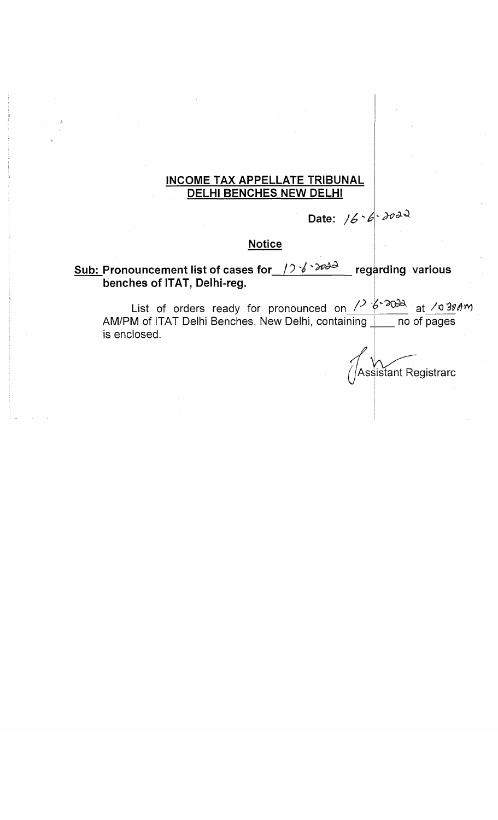### **INCOME TAX APPELLATE TRIBUNAL DELHI BENCHES NEW DELHI**

# Date: 16 - 6 - 2022

### **Notice**

**Sub: Pronouncement list of cases for**  $\left(2\frac{3}{6}\right)$   $\left(3\frac{3}{6}\right)$  regarding various **benches of ITAT, Delhi-reg.**

List of orders ready for pronounced on  $\ell$  of  $\ell$  at  $\ell$  or  $\ell$   $\ell$ AM/PM of ITAT Delhi Benches, New Delhi, containing <u>I\_\_\_</u> no of pages is enclosed.

Assistant Registrarc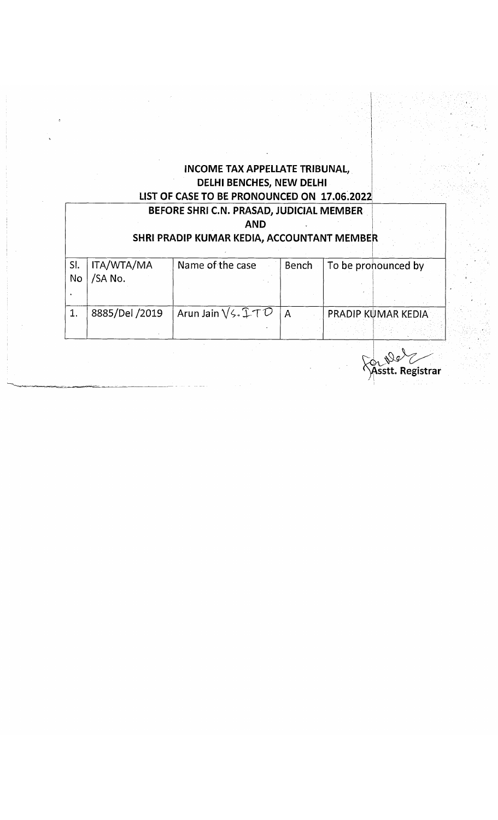### **INCOME TAX APPELLATE TRIBUNAL, DELHI BENCHES, NEW DELHI LIST OF CASE TO BE PRONOUNCED ON 17,06.2022 BEFORE SHRI C.N. PRASAD, JUDICIAL MEMBER**

|           |                       | DEFUNE SMNI CINI FRASAD, JUDICIAL IVIEIVIDEN<br><b>AND</b><br>SHRI PRADIP KUMAR KEDIA, ACCOUNTANT MEMBER |                |                     |
|-----------|-----------------------|----------------------------------------------------------------------------------------------------------|----------------|---------------------|
| SI.<br>No | ITA/WTA/MA<br>/SA No. | Name of the case                                                                                         | Bench          | To be pronounced by |
|           | 8885/Del /2019        | Arun Jain $\sqrt{\xi}$ 1 T $\mathcal{D}$                                                                 | $\overline{A}$ | PRADIP KUMAR KEDIA  |

stt. Registrar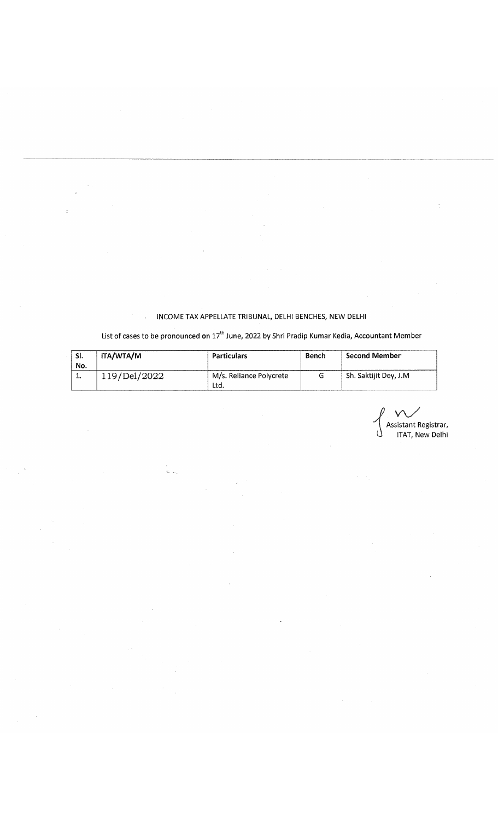#### INCOME TAX APPELLATE TRIBUNAL, DELHI BENCHES, NEW DELHI

# List of cases to be pronounced on  $17^{\text{th}}$  June, 2022 by Shri Pradip Kumar Kedia, Accountant Member

| -SI.<br>No. | ITA/WTA/M    | <b>Particulars</b>             | Bench | Second Member          |
|-------------|--------------|--------------------------------|-------|------------------------|
|             | 119/Del/2022 | M/s. Reliance Polycrete<br>Ltd |       | Sh. Saktijit Dey, J.M. |

*J v\ S* l Assistant Registrar, U ITAT, New Delhi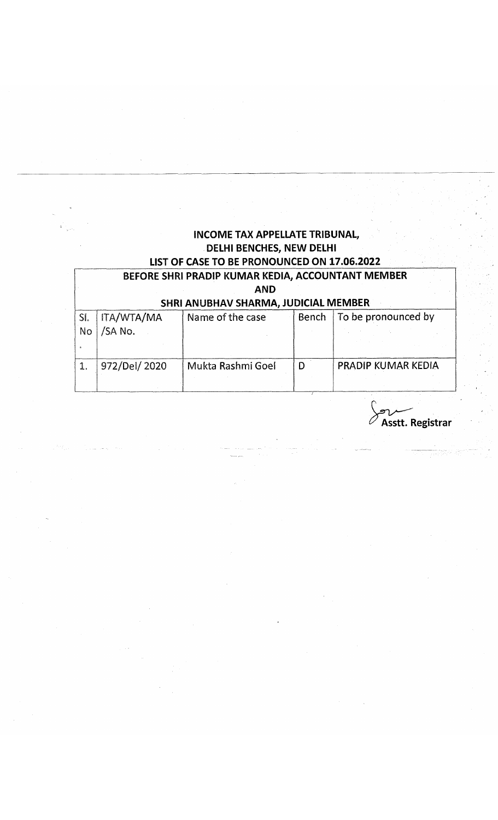# **INCOME TAX APPELLATE TRIBUNAL, DELHI BENCHES, NEW DELHI LIST OF CASE TO BE PRONOUNCED ON 17.06.2022**

### **BEFORE SHRI PRADIP KUMAR KEDIA, ACCOUNTANT MEMBER AND SHRI ANUBHAV SHARMA, JUDICIAL MEMBER**

| <u>JURIAN ANDER SUARDIA, JOSICIAL MENISCH</u> |              |                   |       |                           |  |  |  |
|-----------------------------------------------|--------------|-------------------|-------|---------------------------|--|--|--|
| SI.                                           | ITA/WTA/MA   | Name of the case  | Bench | To be pronounced by       |  |  |  |
| <b>No</b>                                     | /SA No.      |                   |       |                           |  |  |  |
|                                               |              |                   |       |                           |  |  |  |
|                                               | 972/Del/2020 | Mukta Rashmi Goel | D     | <b>PRADIP KUMAR KEDIA</b> |  |  |  |
|                                               |              |                   |       |                           |  |  |  |
|                                               |              |                   |       |                           |  |  |  |

**Asstt. Registrar**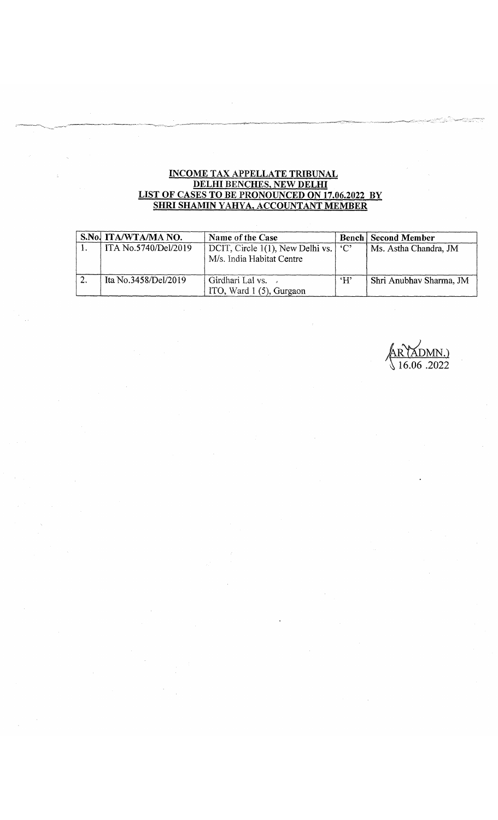#### **INCOME TAX APPELLATE TRIBUNAL DELHI BENCHES, NEW DELHI LIST OF CASES TO BE PRONOUNCED ON 17.06.2022 BY SHRI SHAMIN YAHYA, ACCOUNTANT MEMBER**

| S.No. ITA/WTA/MA NO. | Name of the Case                                                            |              | <b>Bench Second Member</b> |
|----------------------|-----------------------------------------------------------------------------|--------------|----------------------------|
| ITA No.5740/Del/2019 | DCIT, Circle 1(1), New Delhi vs. $\degree$ 'C'<br>M/s. India Habitat Centre |              | Ms. Astha Chandra, JM      |
| Ita No.3458/Del/2019 | Girdhari Lal vs.<br>ITO, Ward $1(5)$ , Gurgaon                              | $\mathbf{H}$ | Shri Anubhav Sharma, JM    |

AR (<u>XDMN.)</u><br>\ 16.06 .2022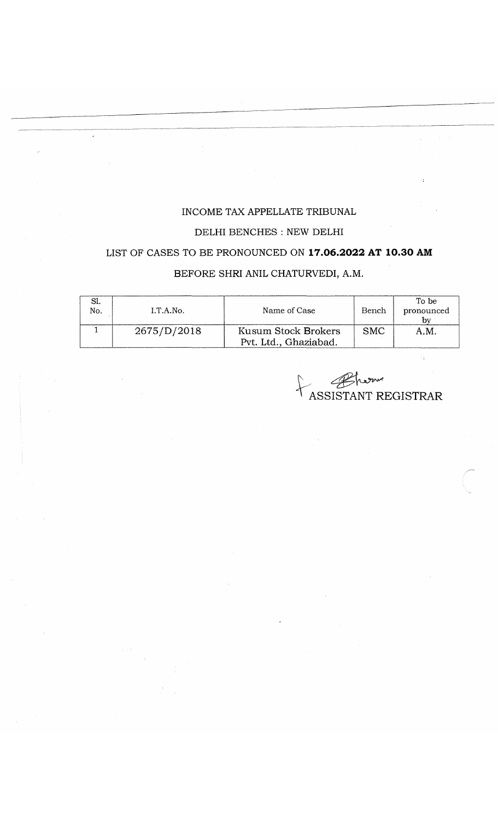#### **INCOME TAX APPELLATE TRIBUNAL**

#### **DELHI BENCHES : NEW DELHI**

# **LIST OF CASES TO BE PRONOUNCED ON 17.06.2022 AT 10.30 AM**

### **BEFORE SHRI ANIL CHATURVEDI, A.M.**

| No.<br>I.T.A.No. |             | Name of Case                                 | Bench | To be<br>pronounced<br>bν |  |
|------------------|-------------|----------------------------------------------|-------|---------------------------|--|
|                  | 2675/D/2018 | Kusum Stock Brokers<br>Pvt. Ltd., Ghaziabad. | SMC.  | A.M.                      |  |

'ASSISTANT REGISTRAR